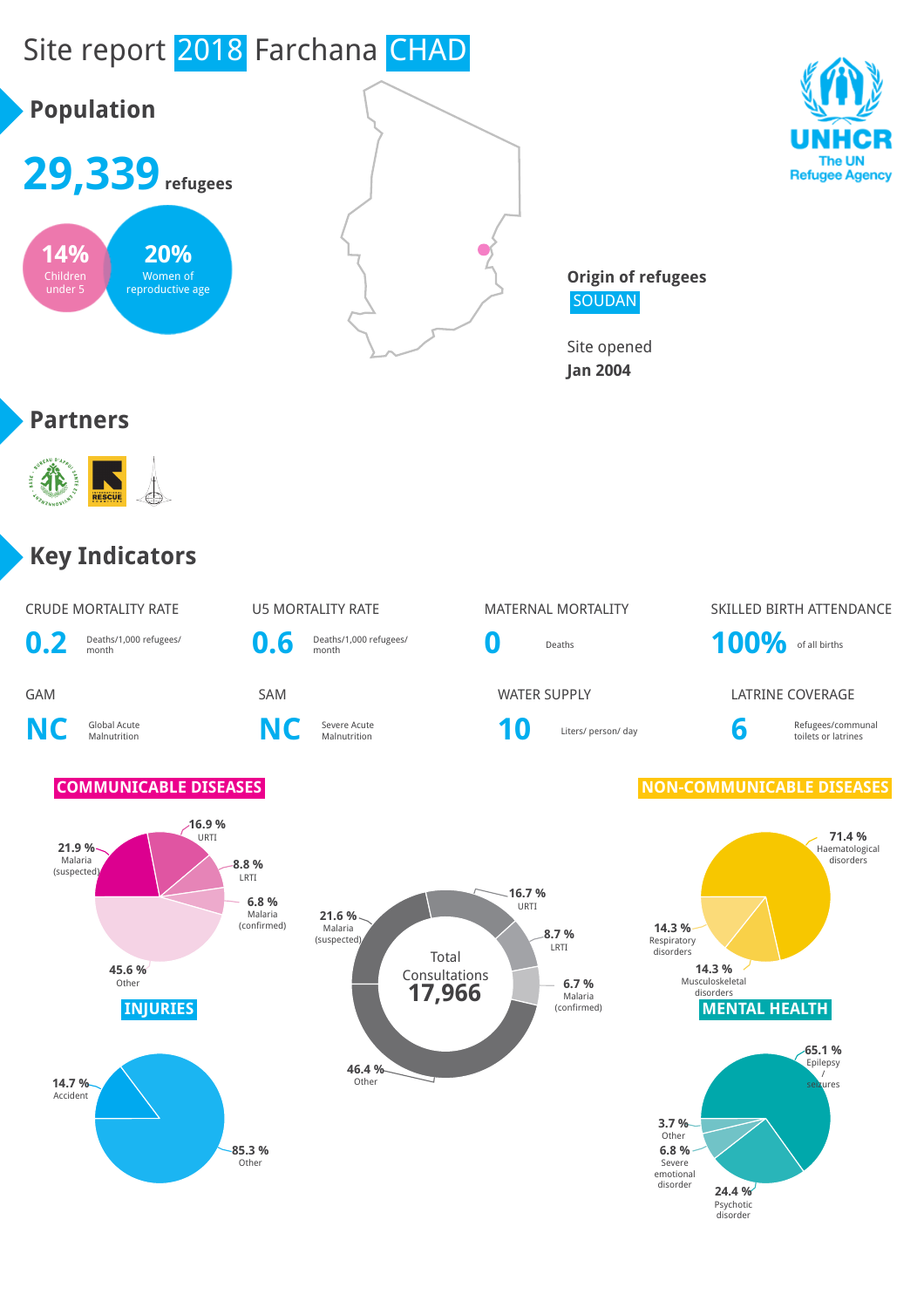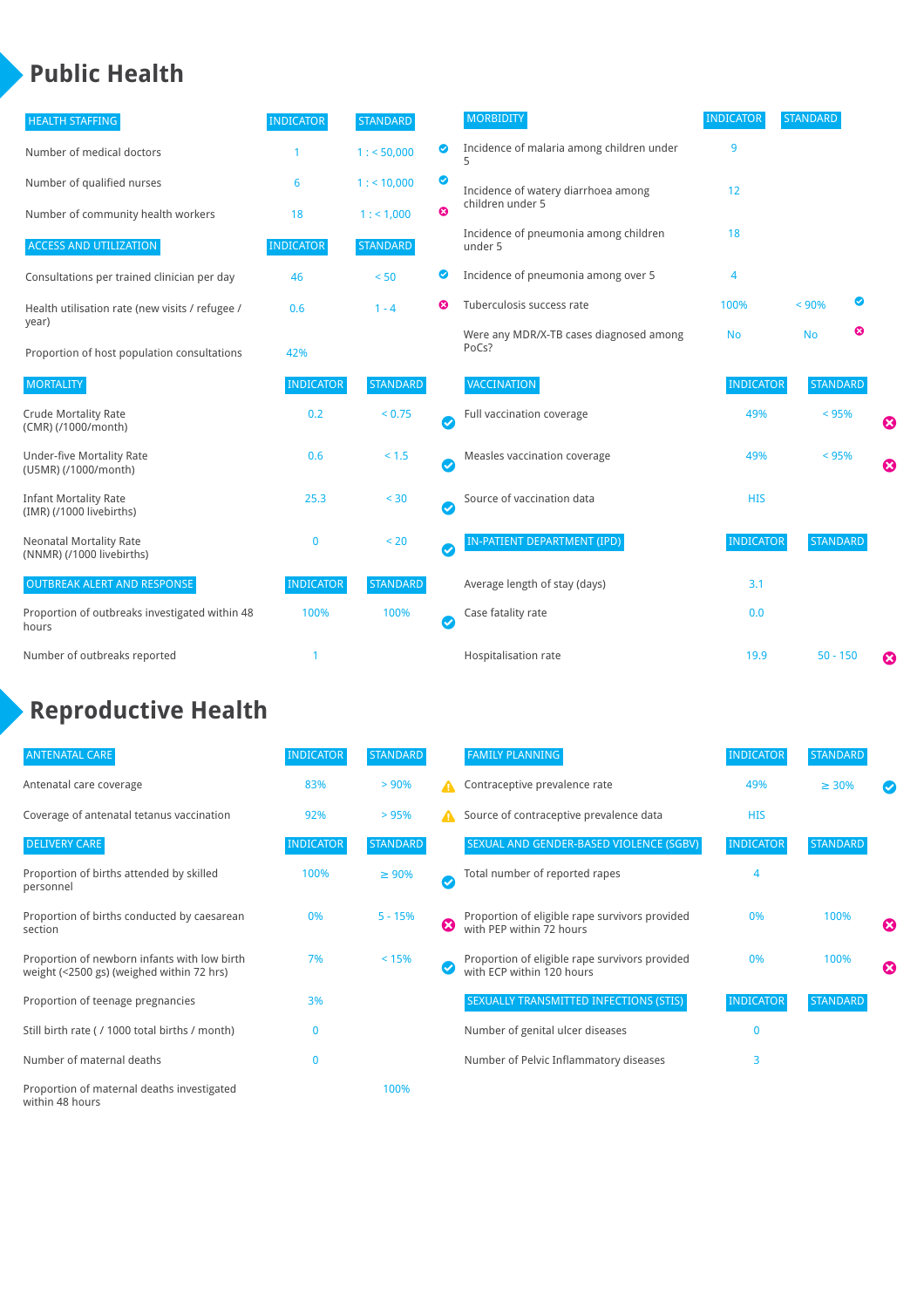### **Public Health**

| <b>HEALTH STAFFING</b>                                      | <b>INDICATOR</b> | <b>STANDARD</b> |           | <b>MORBIDITY</b>                                 | <b>INDICATOR</b> | <b>STANDARD</b> |   |                       |
|-------------------------------------------------------------|------------------|-----------------|-----------|--------------------------------------------------|------------------|-----------------|---|-----------------------|
| Number of medical doctors                                   |                  | 1: 50,000       | ◉         | Incidence of malaria among children under        | 9                |                 |   |                       |
| Number of qualified nurses                                  | 6                | $1:$ < 10,000   | ◎         | Incidence of watery diarrhoea among              | 12               |                 |   |                       |
| Number of community health workers                          | 18               | 1: 1,000        | ೞ         | children under 5                                 |                  |                 |   |                       |
| <b>ACCESS AND UTILIZATION</b>                               | <b>INDICATOR</b> | <b>STANDARD</b> |           | Incidence of pneumonia among children<br>under 5 | 18               |                 |   |                       |
| Consultations per trained clinician per day                 | 46               | < 50            | ◙         | Incidence of pneumonia among over 5              | 4                |                 |   |                       |
| Health utilisation rate (new visits / refugee /             | 0.6              | $1 - 4$         | ణ         | Tuberculosis success rate                        | 100%             | < 90%           | ☑ |                       |
| year)<br>Proportion of host population consultations        | 42%              |                 |           | Were any MDR/X-TB cases diagnosed among<br>PoCs? | <b>No</b>        | <b>No</b>       | ☺ |                       |
| <b>MORTALITY</b>                                            | <b>INDICATOR</b> | <b>STANDARD</b> |           | <b>VACCINATION</b>                               | <b>INDICATOR</b> | <b>STANDARD</b> |   |                       |
| <b>Crude Mortality Rate</b><br>(CMR) (/1000/month)          | 0.2              | < 0.75          | $\bullet$ | Full vaccination coverage                        | 49%              | $< 95\%$        |   | ☺                     |
| <b>Under-five Mortality Rate</b><br>(U5MR) (/1000/month)    | 0.6              | $< 1.5$         | Ø         | Measles vaccination coverage                     | 49%              | < 95%           |   | $\boldsymbol{\Omega}$ |
| <b>Infant Mortality Rate</b><br>(IMR) (/1000 livebirths)    | 25.3             | < 30            | $\bullet$ | Source of vaccination data                       | <b>HIS</b>       |                 |   |                       |
| <b>Neonatal Mortality Rate</b><br>(NNMR) (/1000 livebirths) | $\mathbf 0$      | < 20            | $\bullet$ | <b>IN-PATIENT DEPARTMENT (IPD)</b>               | <b>INDICATOR</b> | <b>STANDARD</b> |   |                       |
| <b>OUTBREAK ALERT AND RESPONSE</b>                          | <b>INDICATOR</b> | <b>STANDARD</b> |           | Average length of stay (days)                    | 3.1              |                 |   |                       |
| Proportion of outbreaks investigated within 48<br>hours     | 100%             | 100%            | $\bullet$ | Case fatality rate                               | 0.0              |                 |   |                       |
| Number of outbreaks reported                                | 1                |                 |           | Hospitalisation rate                             | 19.9             | $50 - 150$      |   | €                     |

# **Reproductive Health**

| <b>ANTENATAL CARE</b>                                                                     | <b>INDICATOR</b> | <b>STANDARD</b> |              | <b>FAMILY PLANNING</b>                                                      | <b>INDICATOR</b> | <b>STANDARD</b> |   |
|-------------------------------------------------------------------------------------------|------------------|-----------------|--------------|-----------------------------------------------------------------------------|------------------|-----------------|---|
| Antenatal care coverage                                                                   | 83%              | $> 90\%$        | A            | Contraceptive prevalence rate                                               | 49%              | $\geq 30\%$     |   |
| Coverage of antenatal tetanus vaccination                                                 | 92%              | >95%            | А            | Source of contraceptive prevalence data                                     | <b>HIS</b>       |                 |   |
| <b>DELIVERY CARE</b>                                                                      | <b>INDICATOR</b> | <b>STANDARD</b> |              | SEXUAL AND GENDER-BASED VIOLENCE (SGBV)                                     | <b>INDICATOR</b> | <b>STANDARD</b> |   |
| Proportion of births attended by skilled<br>personnel                                     | 100%             | $\geq 90\%$     | $\checkmark$ | Total number of reported rapes                                              | 4                |                 |   |
| Proportion of births conducted by caesarean<br>section                                    | 0%               | $5 - 15%$       | Ø            | Proportion of eligible rape survivors provided<br>with PEP within 72 hours  | 0%               | 100%            | ೞ |
| Proportion of newborn infants with low birth<br>weight (<2500 gs) (weighed within 72 hrs) | 7%               | < 15%           |              | Proportion of eligible rape survivors provided<br>with ECP within 120 hours | 0%               | 100%            | ☎ |
| Proportion of teenage pregnancies                                                         | 3%               |                 |              | SEXUALLY TRANSMITTED INFECTIONS (STIS)                                      | <b>INDICATOR</b> | <b>STANDARD</b> |   |
| Still birth rate (/ 1000 total births / month)                                            | $\Omega$         |                 |              | Number of genital ulcer diseases                                            | $\Omega$         |                 |   |
| Number of maternal deaths                                                                 | $\mathbf{0}$     |                 |              | Number of Pelvic Inflammatory diseases                                      | 3                |                 |   |
| Proportion of maternal deaths investigated<br>within 48 hours                             |                  | 100%            |              |                                                                             |                  |                 |   |